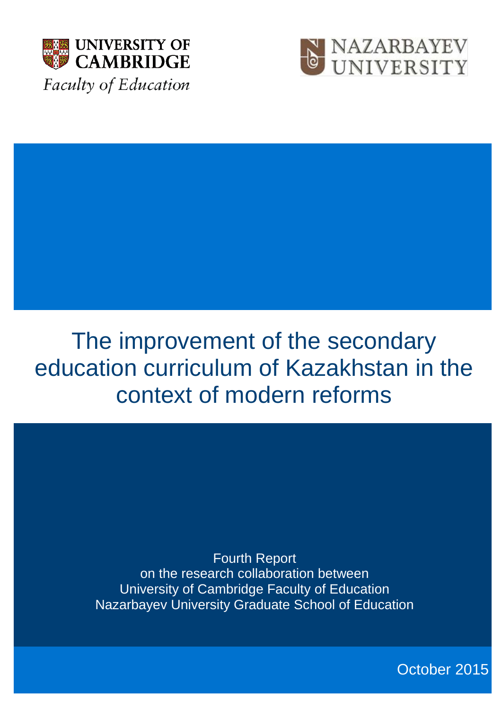



# The improvement of the secondary education curriculum of Kazakhstan in the context of modern reforms

Fourth Report on the research collaboration between University of Cambridge Faculty of Education Nazarbayev University Graduate School of Education

October 2015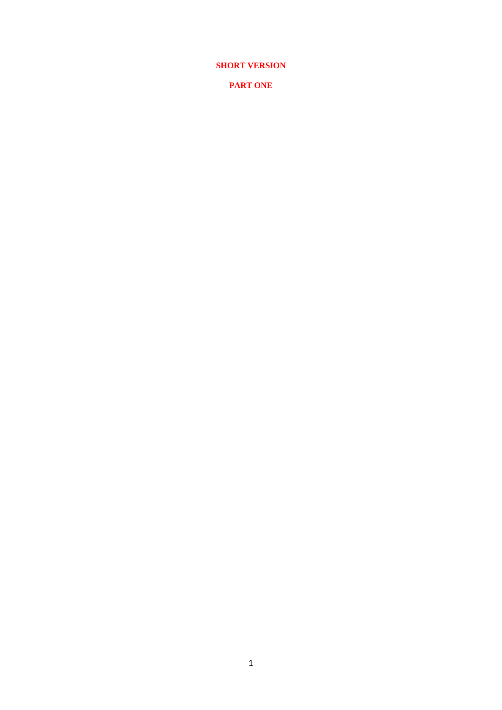**SHORT VERSION** 

**PART ONE**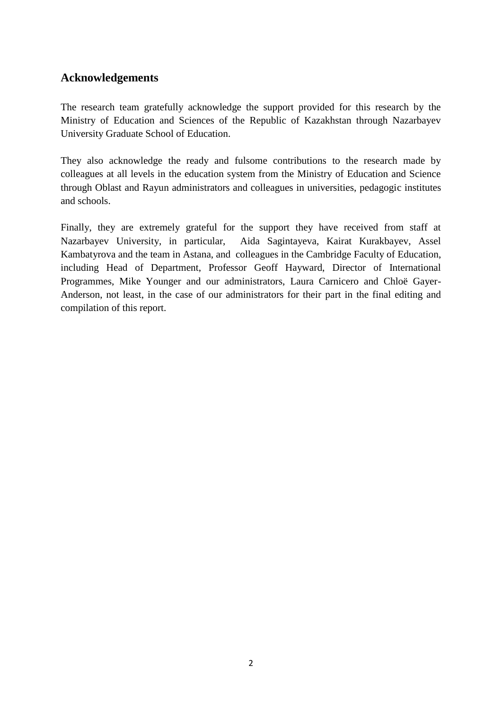## **Acknowledgements**

The research team gratefully acknowledge the support provided for this research by the Ministry of Education and Sciences of the Republic of Kazakhstan through Nazarbayev University Graduate School of Education.

They also acknowledge the ready and fulsome contributions to the research made by colleagues at all levels in the education system from the Ministry of Education and Science through Oblast and Rayun administrators and colleagues in universities, pedagogic institutes and schools.

Finally, they are extremely grateful for the support they have received from staff at Nazarbayev University, in particular, Aida Sagintayeva, Kairat Kurakbayev, Assel Kambatyrova and the team in Astana, and colleagues in the Cambridge Faculty of Education, including Head of Department, Professor Geoff Hayward, Director of International Programmes, Mike Younger and our administrators, Laura Carnicero and Chloë Gayer-Anderson, not least, in the case of our administrators for their part in the final editing and compilation of this report.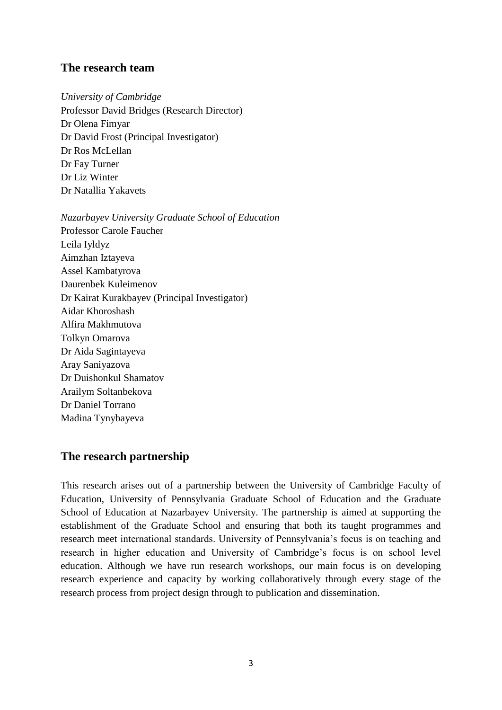#### **The research team**

*University of Cambridge* Professor David Bridges (Research Director) Dr Olena Fimyar Dr David Frost (Principal Investigator) Dr Ros McLellan Dr Fay Turner Dr Liz Winter Dr Natallia Yakavets

*Nazarbayev University Graduate School of Education* Professor Carole Faucher Leila Iyldyz Aimzhan Iztayeva Assel Kambatyrova Daurenbek Kuleimenov Dr Kairat Kurakbayev (Principal Investigator) Aidar Khoroshash Alfira Makhmutova Tolkyn Omarova Dr Aida Sagintayeva Aray Saniyazova Dr Duishonkul Shamatov Arailym Soltanbekova Dr Daniel Torrano Madina Tynybayeva

## **The research partnership**

This research arises out of a partnership between the University of Cambridge Faculty of Education, University of Pennsylvania Graduate School of Education and the Graduate School of Education at Nazarbayev University. The partnership is aimed at supporting the establishment of the Graduate School and ensuring that both its taught programmes and research meet international standards. University of Pennsylvania's focus is on teaching and research in higher education and University of Cambridge's focus is on school level education. Although we have run research workshops, our main focus is on developing research experience and capacity by working collaboratively through every stage of the research process from project design through to publication and dissemination.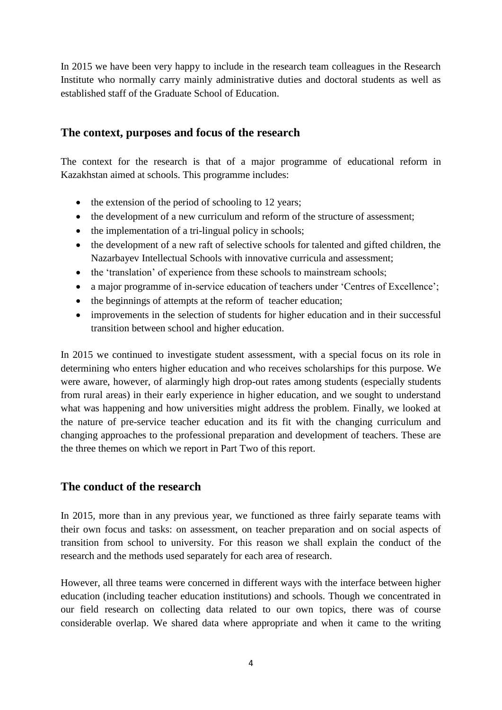In 2015 we have been very happy to include in the research team colleagues in the Research Institute who normally carry mainly administrative duties and doctoral students as well as established staff of the Graduate School of Education.

## **The context, purposes and focus of the research**

The context for the research is that of a major programme of educational reform in Kazakhstan aimed at schools. This programme includes:

- $\bullet$  the extension of the period of schooling to 12 years;
- the development of a new curriculum and reform of the structure of assessment;
- $\bullet$  the implementation of a tri-lingual policy in schools;
- the development of a new raft of selective schools for talented and gifted children, the Nazarbayev Intellectual Schools with innovative curricula and assessment;
- the 'translation' of experience from these schools to mainstream schools;
- a major programme of in-service education of teachers under 'Centres of Excellence';
- the beginnings of attempts at the reform of teacher education;
- improvements in the selection of students for higher education and in their successful transition between school and higher education.

In 2015 we continued to investigate student assessment, with a special focus on its role in determining who enters higher education and who receives scholarships for this purpose. We were aware, however, of alarmingly high drop-out rates among students (especially students from rural areas) in their early experience in higher education, and we sought to understand what was happening and how universities might address the problem. Finally, we looked at the nature of pre-service teacher education and its fit with the changing curriculum and changing approaches to the professional preparation and development of teachers. These are the three themes on which we report in Part Two of this report.

## **The conduct of the research**

In 2015, more than in any previous year, we functioned as three fairly separate teams with their own focus and tasks: on assessment, on teacher preparation and on social aspects of transition from school to university. For this reason we shall explain the conduct of the research and the methods used separately for each area of research.

However, all three teams were concerned in different ways with the interface between higher education (including teacher education institutions) and schools. Though we concentrated in our field research on collecting data related to our own topics, there was of course considerable overlap. We shared data where appropriate and when it came to the writing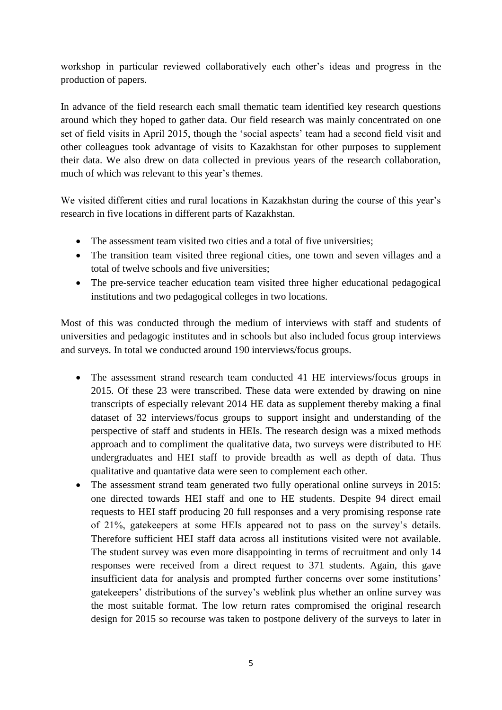workshop in particular reviewed collaboratively each other's ideas and progress in the production of papers.

In advance of the field research each small thematic team identified key research questions around which they hoped to gather data. Our field research was mainly concentrated on one set of field visits in April 2015, though the 'social aspects' team had a second field visit and other colleagues took advantage of visits to Kazakhstan for other purposes to supplement their data. We also drew on data collected in previous years of the research collaboration, much of which was relevant to this year's themes.

We visited different cities and rural locations in Kazakhstan during the course of this year's research in five locations in different parts of Kazakhstan.

- The assessment team visited two cities and a total of five universities;
- The transition team visited three regional cities, one town and seven villages and a total of twelve schools and five universities;
- The pre-service teacher education team visited three higher educational pedagogical institutions and two pedagogical colleges in two locations.

Most of this was conducted through the medium of interviews with staff and students of universities and pedagogic institutes and in schools but also included focus group interviews and surveys. In total we conducted around 190 interviews/focus groups.

- The assessment strand research team conducted 41 HE interviews/focus groups in 2015. Of these 23 were transcribed. These data were extended by drawing on nine transcripts of especially relevant 2014 HE data as supplement thereby making a final dataset of 32 interviews/focus groups to support insight and understanding of the perspective of staff and students in HEIs. The research design was a mixed methods approach and to compliment the qualitative data, two surveys were distributed to HE undergraduates and HEI staff to provide breadth as well as depth of data. Thus qualitative and quantative data were seen to complement each other.
- The assessment strand team generated two fully operational online surveys in 2015: one directed towards HEI staff and one to HE students. Despite 94 direct email requests to HEI staff producing 20 full responses and a very promising response rate of 21%, gatekeepers at some HEIs appeared not to pass on the survey's details. Therefore sufficient HEI staff data across all institutions visited were not available. The student survey was even more disappointing in terms of recruitment and only 14 responses were received from a direct request to 371 students. Again, this gave insufficient data for analysis and prompted further concerns over some institutions' gatekeepers' distributions of the survey's weblink plus whether an online survey was the most suitable format. The low return rates compromised the original research design for 2015 so recourse was taken to postpone delivery of the surveys to later in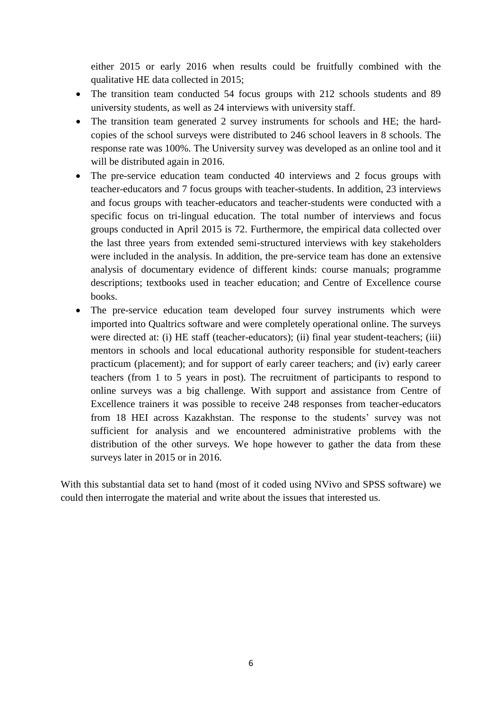either 2015 or early 2016 when results could be fruitfully combined with the qualitative HE data collected in 2015;

- The transition team conducted 54 focus groups with 212 schools students and 89 university students, as well as 24 interviews with university staff.
- The transition team generated 2 survey instruments for schools and HE; the hardcopies of the school surveys were distributed to 246 school leavers in 8 schools. The response rate was 100%. The University survey was developed as an online tool and it will be distributed again in 2016.
- The pre-service education team conducted 40 interviews and 2 focus groups with teacher-educators and 7 focus groups with teacher-students. In addition, 23 interviews and focus groups with teacher-educators and teacher-students were conducted with a specific focus on tri-lingual education. The total number of interviews and focus groups conducted in April 2015 is 72. Furthermore, the empirical data collected over the last three years from extended semi-structured interviews with key stakeholders were included in the analysis. In addition, the pre-service team has done an extensive analysis of documentary evidence of different kinds: course manuals; programme descriptions; textbooks used in teacher education; and Centre of Excellence course books.
- The pre-service education team developed four survey instruments which were imported into Qualtrics software and were completely operational online. The surveys were directed at: (i) HE staff (teacher-educators); (ii) final year student-teachers; (iii) mentors in schools and local educational authority responsible for student-teachers practicum (placement); and for support of early career teachers; and (iv) early career teachers (from 1 to 5 years in post). The recruitment of participants to respond to online surveys was a big challenge. With support and assistance from Centre of Excellence trainers it was possible to receive 248 responses from teacher-educators from 18 HEI across Kazakhstan. The response to the students' survey was not sufficient for analysis and we encountered administrative problems with the distribution of the other surveys. We hope however to gather the data from these surveys later in 2015 or in 2016.

With this substantial data set to hand (most of it coded using NVivo and SPSS software) we could then interrogate the material and write about the issues that interested us.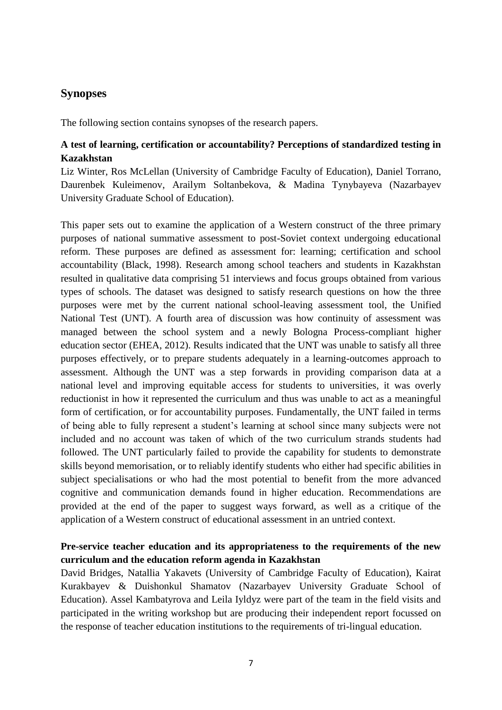## **Synopses**

The following section contains synopses of the research papers.

#### **A test of learning, certification or accountability? Perceptions of standardized testing in Kazakhstan**

Liz Winter, Ros McLellan (University of Cambridge Faculty of Education), Daniel Torrano, Daurenbek Kuleimenov, Arailym Soltanbekova, & Madina Tynybayeva (Nazarbayev University Graduate School of Education).

This paper sets out to examine the application of a Western construct of the three primary purposes of national summative assessment to post-Soviet context undergoing educational reform. These purposes are defined as assessment for: learning; certification and school accountability (Black, 1998). Research among school teachers and students in Kazakhstan resulted in qualitative data comprising 51 interviews and focus groups obtained from various types of schools. The dataset was designed to satisfy research questions on how the three purposes were met by the current national school-leaving assessment tool, the Unified National Test (UNT). A fourth area of discussion was how continuity of assessment was managed between the school system and a newly Bologna Process-compliant higher education sector (EHEA, 2012). Results indicated that the UNT was unable to satisfy all three purposes effectively, or to prepare students adequately in a learning-outcomes approach to assessment. Although the UNT was a step forwards in providing comparison data at a national level and improving equitable access for students to universities, it was overly reductionist in how it represented the curriculum and thus was unable to act as a meaningful form of certification, or for accountability purposes. Fundamentally, the UNT failed in terms of being able to fully represent a student's learning at school since many subjects were not included and no account was taken of which of the two curriculum strands students had followed. The UNT particularly failed to provide the capability for students to demonstrate skills beyond memorisation, or to reliably identify students who either had specific abilities in subject specialisations or who had the most potential to benefit from the more advanced cognitive and communication demands found in higher education. Recommendations are provided at the end of the paper to suggest ways forward, as well as a critique of the application of a Western construct of educational assessment in an untried context.

#### **Pre-service teacher education and its appropriateness to the requirements of the new curriculum and the education reform agenda in Kazakhstan**

David Bridges, Natallia Yakavets (University of Cambridge Faculty of Education), Kairat Kurakbayev & Duishonkul Shamatov (Nazarbayev University Graduate School of Education). Assel Kambatyrova and Leila Iyldyz were part of the team in the field visits and participated in the writing workshop but are producing their independent report focussed on the response of teacher education institutions to the requirements of tri-lingual education.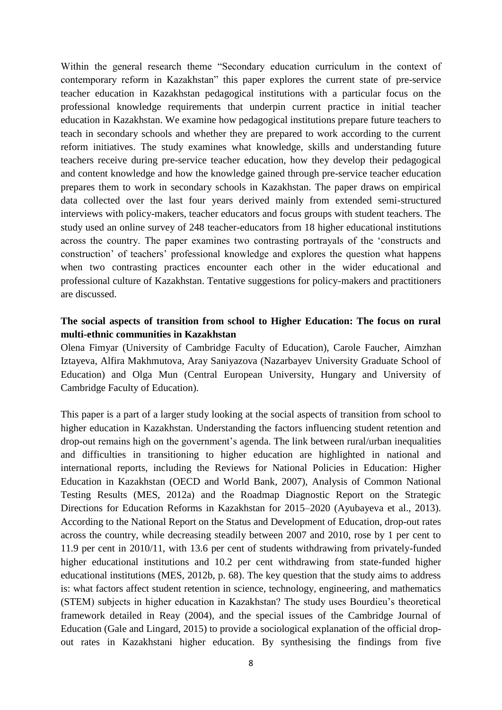Within the general research theme "Secondary education curriculum in the context of contemporary reform in Kazakhstan" this paper explores the current state of pre-service teacher education in Kazakhstan pedagogical institutions with a particular focus on the professional knowledge requirements that underpin current practice in initial teacher education in Kazakhstan. We examine how pedagogical institutions prepare future teachers to teach in secondary schools and whether they are prepared to work according to the current reform initiatives. The study examines what knowledge, skills and understanding future teachers receive during pre-service teacher education, how they develop their pedagogical and content knowledge and how the knowledge gained through pre-service teacher education prepares them to work in secondary schools in Kazakhstan. The paper draws on empirical data collected over the last four years derived mainly from extended semi-structured interviews with policy-makers, teacher educators and focus groups with student teachers. The study used an online survey of 248 teacher-educators from 18 higher educational institutions across the country. The paper examines two contrasting portrayals of the 'constructs and construction' of teachers' professional knowledge and explores the question what happens when two contrasting practices encounter each other in the wider educational and professional culture of Kazakhstan. Tentative suggestions for policy-makers and practitioners are discussed.

#### **The social aspects of transition from school to Higher Education: The focus on rural multi-ethnic communities in Kazakhstan**

Olena Fimyar (University of Cambridge Faculty of Education), Carole Faucher, Aimzhan Iztayeva, Alfira Makhmutova, Aray Saniyazova (Nazarbayev University Graduate School of Education) and Olga Mun (Central European University, Hungary and University of Cambridge Faculty of Education).

This paper is a part of a larger study looking at the social aspects of transition from school to higher education in Kazakhstan. Understanding the factors influencing student retention and drop-out remains high on the government's agenda. The link between rural/urban inequalities and difficulties in transitioning to higher education are highlighted in national and international reports, including the Reviews for National Policies in Education: Higher Education in Kazakhstan (OECD and World Bank, 2007), Analysis of Common National Testing Results (MES, 2012a) and the Roadmap Diagnostic Report on the Strategic Directions for Education Reforms in Kazakhstan for 2015–2020 (Ayubayeva et al., 2013). According to the National Report on the Status and Development of Education, drop-out rates across the country, while decreasing steadily between 2007 and 2010, rose by 1 per cent to 11.9 per cent in 2010/11, with 13.6 per cent of students withdrawing from privately-funded higher educational institutions and 10.2 per cent withdrawing from state-funded higher educational institutions (MES, 2012b, p. 68). The key question that the study aims to address is: what factors affect student retention in science, technology, engineering, and mathematics (STEM) subjects in higher education in Kazakhstan? The study uses Bourdieu's theoretical framework detailed in Reay (2004), and the special issues of the Cambridge Journal of Education (Gale and Lingard, 2015) to provide a sociological explanation of the official dropout rates in Kazakhstani higher education. By synthesising the findings from five